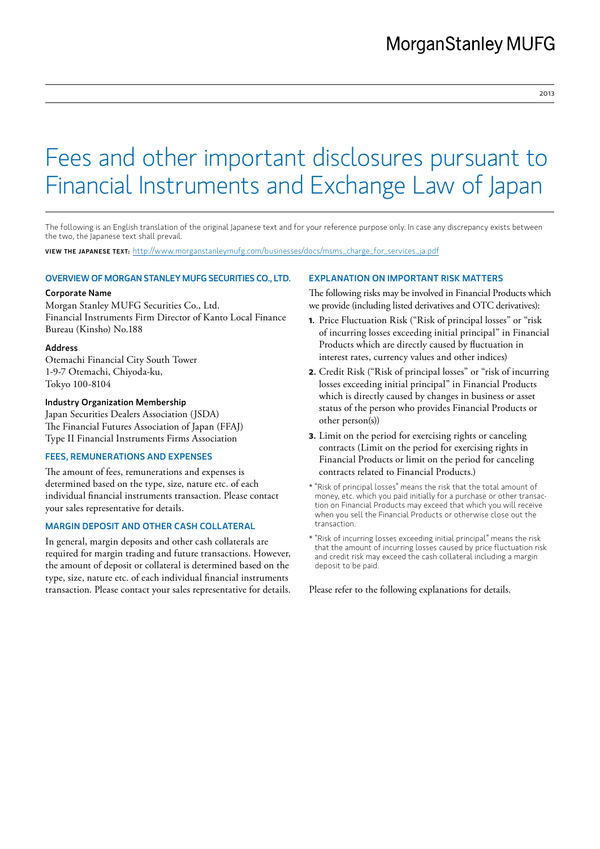2013

# Fees and other important disclosures pursuant to Financial Instruments and Exchange Law of Japan

The following is an English translation of the original Japanese text and for your reference purpose only. In case any discrepancy exists between the two, the Japanese text shall prevail.

**View the Japanese text:** http://www.morganstanleymufg.com/businesses/docs/msms\_charge\_for\_services\_ja.pdf

#### Overview of Morgan Stanley MUFG Securities Co., Ltd.

#### Corporate Name

Morgan Stanley MUFG Securities Co., Ltd. Financial Instruments Firm Director of Kanto Local Finance Bureau (Kinsho) No.188

#### Address

Otemachi Financial City South Tower 1-9-7 Otemachi, Chiyoda-ku, Tokyo 100-8104

#### Industry Organization Membership

Japan Securities Dealers Association (JSDA) The Financial Futures Association of Japan (FFAJ) Type II Financial Instruments Firms Association

#### Fees, Remunerations and Expenses

The amount of fees, remunerations and expenses is determined based on the type, size, nature etc. of each individual financial instruments transaction. Please contact your sales representative for details.

#### Margin Deposit and other Cash Collateral

In general, margin deposits and other cash collaterals are required for margin trading and future transactions. However, the amount of deposit or collateral is determined based on the type, size, nature etc. of each individual financial instruments transaction. Please contact your sales representative for details.

#### Explanation on Important Risk Matters

The following risks may be involved in Financial Products which we provide (including listed derivatives and OTC derivatives):

- **1.** Price Fluctuation Risk ("Risk of principal losses" or "risk of incurring losses exceeding initial principal" in Financial Products which are directly caused by fluctuation in interest rates, currency values and other indices)
- **2.** Credit Risk ("Risk of principal losses" or "risk of incurring losses exceeding initial principal" in Financial Products which is directly caused by changes in business or asset status of the person who provides Financial Products or other person(s))
- **3.** Limit on the period for exercising rights or canceling contracts (Limit on the period for exercising rights in Financial Products or limit on the period for canceling contracts related to Financial Products.)
- \* "Risk of principal losses" means the risk that the total amount of money, etc. which you paid initially for a purchase or other transaction on Financial Products may exceed that which you will receive when you sell the Financial Products or otherwise close out the transaction.
- \* "Risk of incurring losses exceeding initial principal" means the risk that the amount of incurring losses caused by price fluctuation risk and credit risk may exceed the cash collateral including a margin deposit to be paid.

Please refer to the following explanations for details.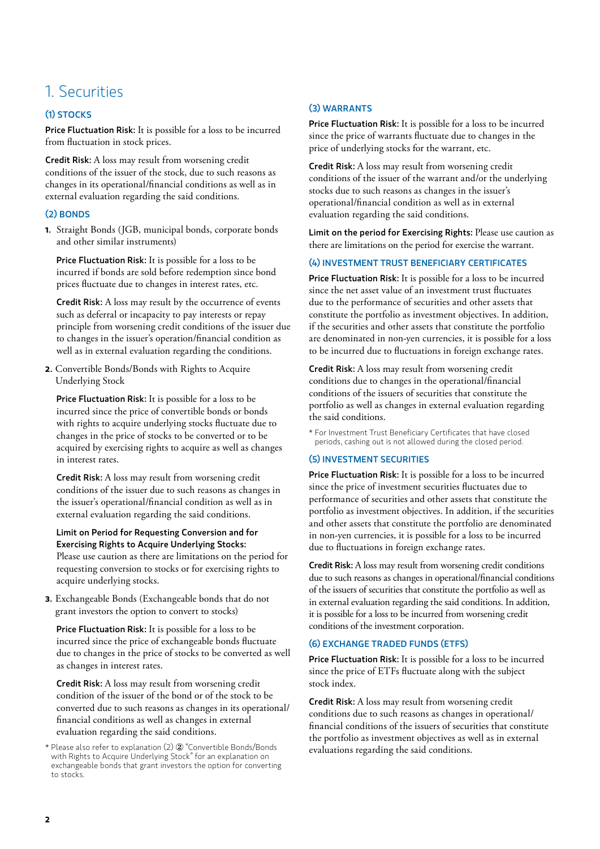# 1. Securities

# (1) Stocks

Price Fluctuation Risk: It is possible for a loss to be incurred from fluctuation in stock prices.

Credit Risk: A loss may result from worsening credit conditions of the issuer of the stock, due to such reasons as changes in its operational/financial conditions as well as in external evaluation regarding the said conditions.

#### (2) Bonds

**1.** Straight Bonds (JGB, municipal bonds, corporate bonds and other similar instruments)

 Price Fluctuation Risk: It is possible for a loss to be incurred if bonds are sold before redemption since bond prices fluctuate due to changes in interest rates, etc.

 Credit Risk: A loss may result by the occurrence of events such as deferral or incapacity to pay interests or repay principle from worsening credit conditions of the issuer due to changes in the issuer's operation/financial condition as well as in external evaluation regarding the conditions.

**2.** Convertible Bonds/Bonds with Rights to Acquire Underlying Stock

Price Fluctuation Risk: It is possible for a loss to be incurred since the price of convertible bonds or bonds with rights to acquire underlying stocks fluctuate due to changes in the price of stocks to be converted or to be acquired by exercising rights to acquire as well as changes in interest rates.

Credit Risk: A loss may result from worsening credit conditions of the issuer due to such reasons as changes in the issuer's operational/financial condition as well as in external evaluation regarding the said conditions.

 Limit on Period for Requesting Conversion and for Exercising Rights to Acquire Underlying Stocks: Please use caution as there are limitations on the period for requesting conversion to stocks or for exercising rights to acquire underlying stocks.

**3.** Exchangeable Bonds (Exchangeable bonds that do not grant investors the option to convert to stocks)

**Price Fluctuation Risk:** It is possible for a loss to be incurred since the price of exchangeable bonds fluctuate due to changes in the price of stocks to be converted as well as changes in interest rates.

 Credit Risk: A loss may result from worsening credit condition of the issuer of the bond or of the stock to be converted due to such reasons as changes in its operational/ financial conditions as well as changes in external evaluation regarding the said conditions.

#### (3) Warrants

Price Fluctuation Risk: It is possible for a loss to be incurred since the price of warrants fluctuate due to changes in the price of underlying stocks for the warrant, etc.

Credit Risk: A loss may result from worsening credit conditions of the issuer of the warrant and/or the underlying stocks due to such reasons as changes in the issuer's operational/financial condition as well as in external evaluation regarding the said conditions.

Limit on the period for Exercising Rights: Please use caution as there are limitations on the period for exercise the warrant.

#### (4) Investment Trust Beneficiary Certificates

Price Fluctuation Risk: It is possible for a loss to be incurred since the net asset value of an investment trust fluctuates due to the performance of securities and other assets that constitute the portfolio as investment objectives. In addition, if the securities and other assets that constitute the portfolio are denominated in non-yen currencies, it is possible for a loss to be incurred due to fluctuations in foreign exchange rates.

Credit Risk: A loss may result from worsening credit conditions due to changes in the operational/financial conditions of the issuers of securities that constitute the portfolio as well as changes in external evaluation regarding the said conditions.

\* For Investment Trust Beneficiary Certificates that have closed periods, cashing out is not allowed during the closed period.

#### (5) Investment Securities

Price Fluctuation Risk: It is possible for a loss to be incurred since the price of investment securities fluctuates due to performance of securities and other assets that constitute the portfolio as investment objectives. In addition, if the securities and other assets that constitute the portfolio are denominated in non-yen currencies, it is possible for a loss to be incurred due to fluctuations in foreign exchange rates.

Credit Risk: A loss may result from worsening credit conditions due to such reasons as changes in operational/financial conditions of the issuers of securities that constitute the portfolio as well as in external evaluation regarding the said conditions. In addition, it is possible for a loss to be incurred from worsening credit conditions of the investment corporation.

#### (6) Exchange Traded Funds (ETFs)

Price Fluctuation Risk: It is possible for a loss to be incurred since the price of ETFs fluctuate along with the subject stock index.

Credit Risk: A loss may result from worsening credit conditions due to such reasons as changes in operational/ financial conditions of the issuers of securities that constitute the portfolio as investment objectives as well as in external evaluations regarding the said conditions.

<sup>\*</sup> Please also refer to explanation (2) ② "Convertible Bonds/Bonds with Rights to Acquire Underlying Stock" for an explanation on exchangeable bonds that grant investors the option for converting to stocks.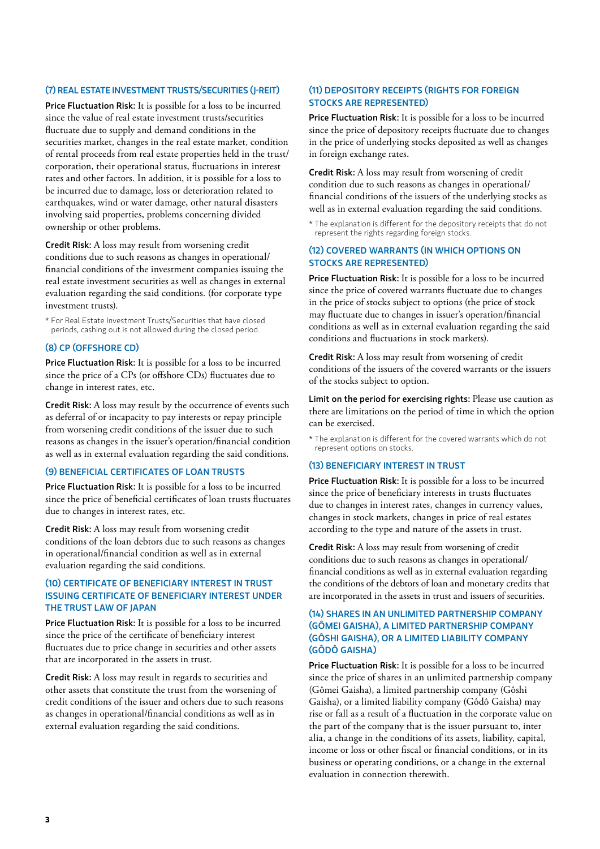#### (7) Real Estate Investment Trusts/Securities (J-REIT)

Price Fluctuation Risk: It is possible for a loss to be incurred since the value of real estate investment trusts/securities fluctuate due to supply and demand conditions in the securities market, changes in the real estate market, condition of rental proceeds from real estate properties held in the trust/ corporation, their operational status, fluctuations in interest rates and other factors. In addition, it is possible for a loss to be incurred due to damage, loss or deterioration related to earthquakes, wind or water damage, other natural disasters involving said properties, problems concerning divided ownership or other problems.

Credit Risk: A loss may result from worsening credit conditions due to such reasons as changes in operational/ financial conditions of the investment companies issuing the real estate investment securities as well as changes in external evaluation regarding the said conditions. (for corporate type investment trusts).

\* For Real Estate Investment Trusts/Securities that have closed periods, cashing out is not allowed during the closed period.

#### (8) CP (Offshore CD)

Price Fluctuation Risk: It is possible for a loss to be incurred since the price of a CPs (or offshore CDs) fluctuates due to change in interest rates, etc.

Credit Risk: A loss may result by the occurrence of events such as deferral of or incapacity to pay interests or repay principle from worsening credit conditions of the issuer due to such reasons as changes in the issuer's operation/financial condition as well as in external evaluation regarding the said conditions.

# (9) Beneficial Certificates of Loan Trusts

Price Fluctuation Risk: It is possible for a loss to be incurred since the price of beneficial certificates of loan trusts fluctuates due to changes in interest rates, etc.

Credit Risk: A loss may result from worsening credit conditions of the loan debtors due to such reasons as changes in operational/financial condition as well as in external evaluation regarding the said conditions.

#### (10) Certificate of Beneficiary Interest in Trust Issuing Certificate of Beneficiary Interest under THE TRUST LAW OF IAPAN

Price Fluctuation Risk: It is possible for a loss to be incurred since the price of the certificate of beneficiary interest fluctuates due to price change in securities and other assets that are incorporated in the assets in trust.

Credit Risk: A loss may result in regards to securities and other assets that constitute the trust from the worsening of credit conditions of the issuer and others due to such reasons as changes in operational/financial conditions as well as in external evaluation regarding the said conditions.

#### (11) Depository Receipts (Rights for foreign stocks are represented)

Price Fluctuation Risk: It is possible for a loss to be incurred since the price of depository receipts fluctuate due to changes in the price of underlying stocks deposited as well as changes in foreign exchange rates.

Credit Risk: A loss may result from worsening of credit condition due to such reasons as changes in operational/ financial conditions of the issuers of the underlying stocks as well as in external evaluation regarding the said conditions.

\* The explanation is different for the depository receipts that do not represent the rights regarding foreign stocks.

#### (12) Covered Warrants (in which options on stocks are represented)

Price Fluctuation Risk: It is possible for a loss to be incurred since the price of covered warrants fluctuate due to changes in the price of stocks subject to options (the price of stock may fluctuate due to changes in issuer's operation/financial conditions as well as in external evaluation regarding the said conditions and fluctuations in stock markets).

Credit Risk: A loss may result from worsening of credit conditions of the issuers of the covered warrants or the issuers of the stocks subject to option.

Limit on the period for exercising rights: Please use caution as there are limitations on the period of time in which the option can be exercised.

\* The explanation is different for the covered warrants which do not represent options on stocks.

#### (13) Beneficiary Interest in Trust

Price Fluctuation Risk: It is possible for a loss to be incurred since the price of beneficiary interests in trusts fluctuates due to changes in interest rates, changes in currency values, changes in stock markets, changes in price of real estates according to the type and nature of the assets in trust.

Credit Risk: A loss may result from worsening of credit conditions due to such reasons as changes in operational/ financial conditions as well as in external evaluation regarding the conditions of the debtors of loan and monetary credits that are incorporated in the assets in trust and issuers of securities.

#### (14) Shares in an Unlimited Partnership Company (Gômei Gaisha), a Limited Partnership Company (Gôshi Gaisha), or a Limited Liability Company (Gôdô Gaisha)

Price Fluctuation Risk: It is possible for a loss to be incurred since the price of shares in an unlimited partnership company (Gômei Gaisha), a limited partnership company (Gôshi Gaisha), or a limited liability company (Gôdô Gaisha) may rise or fall as a result of a fluctuation in the corporate value on the part of the company that is the issuer pursuant to, inter alia, a change in the conditions of its assets, liability, capital, income or loss or other fiscal or financial conditions, or in its business or operating conditions, or a change in the external evaluation in connection therewith.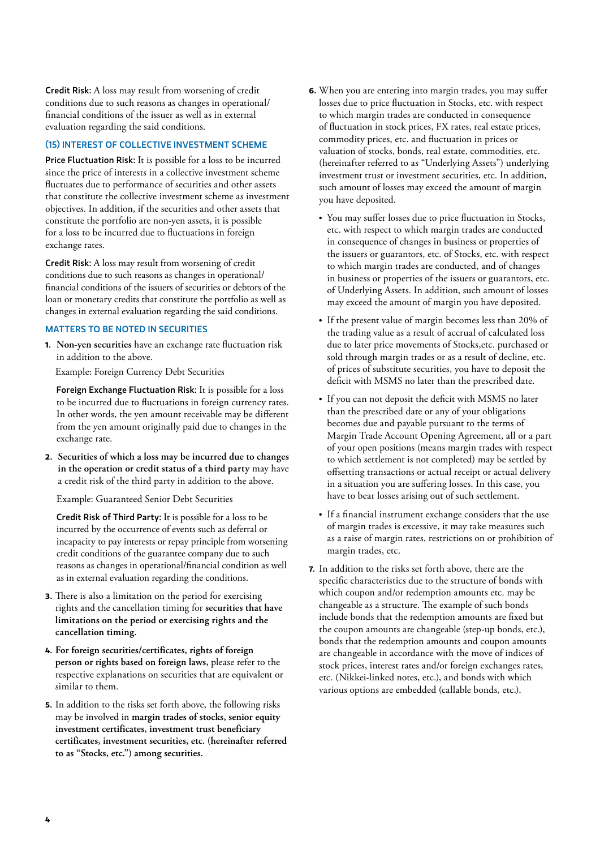Credit Risk: A loss may result from worsening of credit conditions due to such reasons as changes in operational/ financial conditions of the issuer as well as in external evaluation regarding the said conditions.

### (15) Interest of Collective Investment Scheme

Price Fluctuation Risk: It is possible for a loss to be incurred since the price of interests in a collective investment scheme fluctuates due to performance of securities and other assets that constitute the collective investment scheme as investment objectives. In addition, if the securities and other assets that constitute the portfolio are non-yen assets, it is possible for a loss to be incurred due to fluctuations in foreign exchange rates.

Credit Risk: A loss may result from worsening of credit conditions due to such reasons as changes in operational/ financial conditions of the issuers of securities or debtors of the loan or monetary credits that constitute the portfolio as well as changes in external evaluation regarding the said conditions.

#### Matters to be Noted in Securities

**1. Non-yen securities** have an exchange rate fluctuation risk in addition to the above.

Example: Foreign Currency Debt Securities

 Foreign Exchange Fluctuation Risk: It is possible for a loss to be incurred due to fluctuations in foreign currency rates. In other words, the yen amount receivable may be different from the yen amount originally paid due to changes in the exchange rate.

**2. Securities of which a loss may be incurred due to changes in the operation or credit status of a third party** may have a credit risk of the third party in addition to the above.

Example: Guaranteed Senior Debt Securities

 Credit Risk of Third Party: It is possible for a loss to be incurred by the occurrence of events such as deferral or incapacity to pay interests or repay principle from worsening credit conditions of the guarantee company due to such reasons as changes in operational/financial condition as well as in external evaluation regarding the conditions.

- **3.** There is also a limitation on the period for exercising rights and the cancellation timing for **securities that have limitations on the period or exercising rights and the cancellation timing.**
- **4. For foreign securities/certificates, rights of foreign person or rights based on foreign laws,** please refer to the respective explanations on securities that are equivalent or similar to them.
- **5.** In addition to the risks set forth above, the following risks may be involved in **margin trades of stocks, senior equity investment certificates, investment trust beneficiary certificates, investment securities, etc. (hereinafter referred to as "Stocks, etc.") among securities.**
- **6.** When you are entering into margin trades, you may suffer losses due to price fluctuation in Stocks, etc. with respect to which margin trades are conducted in consequence of fluctuation in stock prices, FX rates, real estate prices, commodity prices, etc. and fluctuation in prices or valuation of stocks, bonds, real estate, commodities, etc. (hereinafter referred to as "Underlying Assets") underlying investment trust or investment securities, etc. In addition, such amount of losses may exceed the amount of margin you have deposited.
	- You may suffer losses due to price fluctuation in Stocks, etc. with respect to which margin trades are conducted in consequence of changes in business or properties of the issuers or guarantors, etc. of Stocks, etc. with respect to which margin trades are conducted, and of changes in business or properties of the issuers or guarantors, etc. of Underlying Assets. In addition, such amount of losses may exceed the amount of margin you have deposited.
	- • If the present value of margin becomes less than 20% of the trading value as a result of accrual of calculated loss due to later price movements of Stocks,etc. purchased or sold through margin trades or as a result of decline, etc. of prices of substitute securities, you have to deposit the deficit with MSMS no later than the prescribed date.
	- If you can not deposit the deficit with MSMS no later than the prescribed date or any of your obligations becomes due and payable pursuant to the terms of Margin Trade Account Opening Agreement, all or a part of your open positions (means margin trades with respect to which settlement is not completed) may be settled by offsetting transactions or actual receipt or actual delivery in a situation you are suffering losses. In this case, you have to bear losses arising out of such settlement.
	- If a financial instrument exchange considers that the use of margin trades is excessive, it may take measures such as a raise of margin rates, restrictions on or prohibition of margin trades, etc.
- **7.** In addition to the risks set forth above, there are the specific characteristics due to the structure of bonds with which coupon and/or redemption amounts etc. may be changeable as a structure. The example of such bonds include bonds that the redemption amounts are fixed but the coupon amounts are changeable (step-up bonds, etc.), bonds that the redemption amounts and coupon amounts are changeable in accordance with the move of indices of stock prices, interest rates and/or foreign exchanges rates, etc. (Nikkei-linked notes, etc.), and bonds with which various options are embedded (callable bonds, etc.).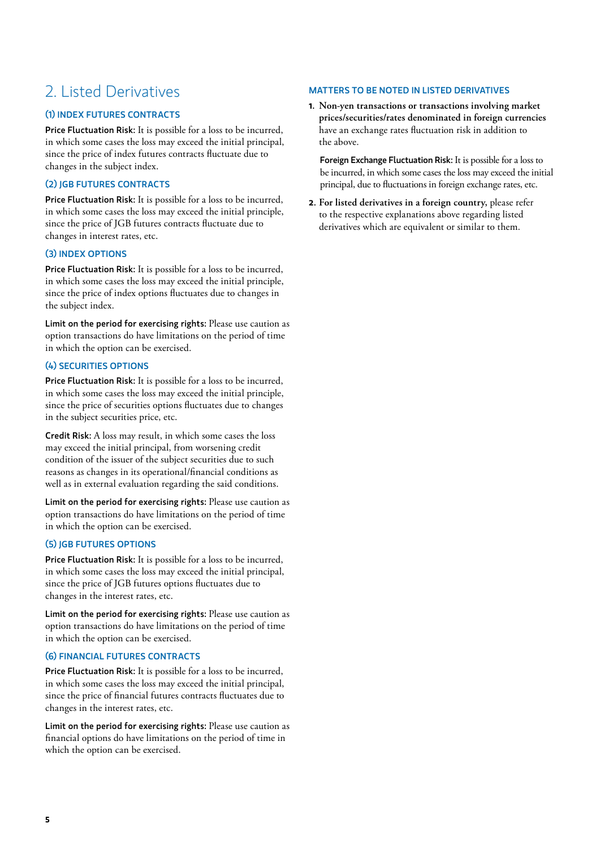# 2. Listed Derivatives

# (1) Index Futures Contracts

Price Fluctuation Risk: It is possible for a loss to be incurred, in which some cases the loss may exceed the initial principal, since the price of index futures contracts fluctuate due to changes in the subject index.

### (2) JGB Futures Contracts

Price Fluctuation Risk: It is possible for a loss to be incurred, in which some cases the loss may exceed the initial principle, since the price of JGB futures contracts fluctuate due to changes in interest rates, etc.

#### (3) Index Options

Price Fluctuation Risk: It is possible for a loss to be incurred, in which some cases the loss may exceed the initial principle, since the price of index options fluctuates due to changes in the subject index.

Limit on the period for exercising rights: Please use caution as option transactions do have limitations on the period of time in which the option can be exercised.

#### (4) Securities Options

Price Fluctuation Risk: It is possible for a loss to be incurred, in which some cases the loss may exceed the initial principle, since the price of securities options fluctuates due to changes in the subject securities price, etc.

Credit Risk: A loss may result, in which some cases the loss may exceed the initial principal, from worsening credit condition of the issuer of the subject securities due to such reasons as changes in its operational/financial conditions as well as in external evaluation regarding the said conditions.

Limit on the period for exercising rights: Please use caution as option transactions do have limitations on the period of time in which the option can be exercised.

# (5) JGB Futures Options

Price Fluctuation Risk: It is possible for a loss to be incurred, in which some cases the loss may exceed the initial principal, since the price of JGB futures options fluctuates due to changes in the interest rates, etc.

Limit on the period for exercising rights: Please use caution as option transactions do have limitations on the period of time in which the option can be exercised.

### (6) Financial Futures Contracts

Price Fluctuation Risk: It is possible for a loss to be incurred, in which some cases the loss may exceed the initial principal, since the price of financial futures contracts fluctuates due to changes in the interest rates, etc.

Limit on the period for exercising rights: Please use caution as financial options do have limitations on the period of time in which the option can be exercised.

#### Matters to be Noted in Listed Derivatives

**1. Non-yen transactions or transactions involving market prices/securities/rates denominated in foreign currencies**  have an exchange rates fluctuation risk in addition to the above.

 Foreign Exchange Fluctuation Risk: It is possible for a loss to be incurred, in which some cases the loss may exceed the initial principal, due to fluctuations in foreign exchange rates, etc.

**2. For listed derivatives in a foreign country,** please refer to the respective explanations above regarding listed derivatives which are equivalent or similar to them.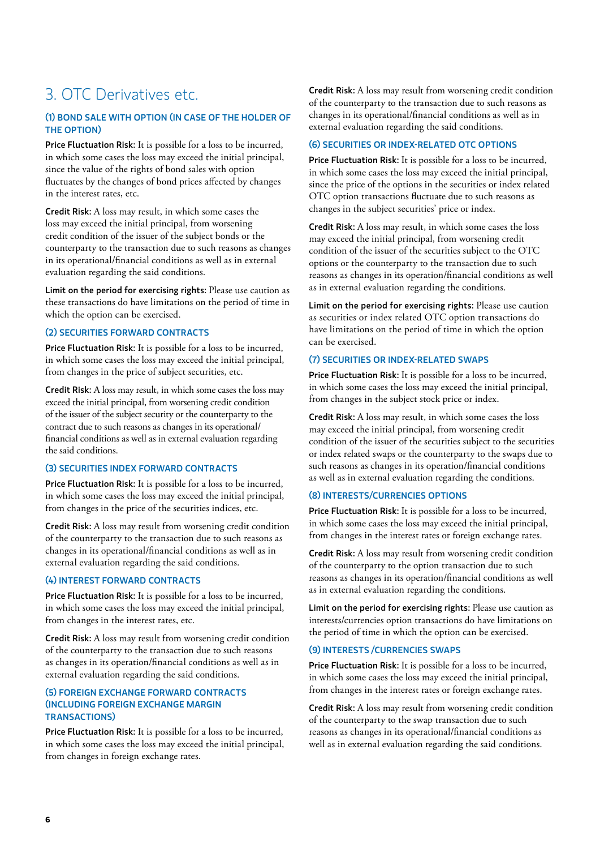# 3. OTC Derivatives etc.

# (1) Bond Sale with Option (In case of the holder of **THE OPTION)**

Price Fluctuation Risk: It is possible for a loss to be incurred, in which some cases the loss may exceed the initial principal, since the value of the rights of bond sales with option fluctuates by the changes of bond prices affected by changes in the interest rates, etc.

Credit Risk: A loss may result, in which some cases the loss may exceed the initial principal, from worsening credit condition of the issuer of the subject bonds or the counterparty to the transaction due to such reasons as changes in its operational/financial conditions as well as in external evaluation regarding the said conditions.

Limit on the period for exercising rights: Please use caution as these transactions do have limitations on the period of time in which the option can be exercised.

# (2) Securities Forward Contracts

Price Fluctuation Risk: It is possible for a loss to be incurred, in which some cases the loss may exceed the initial principal, from changes in the price of subject securities, etc.

Credit Risk: A loss may result, in which some cases the loss may exceed the initial principal, from worsening credit condition of the issuer of the subject security or the counterparty to the contract due to such reasons as changes in its operational/ financial conditions as well as in external evaluation regarding the said conditions.

# (3) Securities Index Forward Contracts

Price Fluctuation Risk: It is possible for a loss to be incurred, in which some cases the loss may exceed the initial principal, from changes in the price of the securities indices, etc.

Credit Risk: A loss may result from worsening credit condition of the counterparty to the transaction due to such reasons as changes in its operational/financial conditions as well as in external evaluation regarding the said conditions.

#### (4) Interest Forward Contracts

Price Fluctuation Risk: It is possible for a loss to be incurred, in which some cases the loss may exceed the initial principal, from changes in the interest rates, etc.

Credit Risk: A loss may result from worsening credit condition of the counterparty to the transaction due to such reasons as changes in its operation/financial conditions as well as in external evaluation regarding the said conditions.

#### (5) Foreign Exchange Forward Contracts (including Foreign Exchange Margin Transactions)

Price Fluctuation Risk: It is possible for a loss to be incurred, in which some cases the loss may exceed the initial principal, from changes in foreign exchange rates.

Credit Risk: A loss may result from worsening credit condition of the counterparty to the transaction due to such reasons as changes in its operational/financial conditions as well as in external evaluation regarding the said conditions.

#### (6) Securities or Index-related OTC Options

Price Fluctuation Risk: It is possible for a loss to be incurred, in which some cases the loss may exceed the initial principal, since the price of the options in the securities or index related OTC option transactions fluctuate due to such reasons as changes in the subject securities' price or index.

Credit Risk: A loss may result, in which some cases the loss may exceed the initial principal, from worsening credit condition of the issuer of the securities subject to the OTC options or the counterparty to the transaction due to such reasons as changes in its operation/financial conditions as well as in external evaluation regarding the conditions.

Limit on the period for exercising rights: Please use caution as securities or index related OTC option transactions do have limitations on the period of time in which the option can be exercised.

### (7) Securities or Index-related Swaps

Price Fluctuation Risk: It is possible for a loss to be incurred, in which some cases the loss may exceed the initial principal, from changes in the subject stock price or index.

Credit Risk: A loss may result, in which some cases the loss may exceed the initial principal, from worsening credit condition of the issuer of the securities subject to the securities or index related swaps or the counterparty to the swaps due to such reasons as changes in its operation/financial conditions as well as in external evaluation regarding the conditions.

#### (8) Interests/Currencies Options

Price Fluctuation Risk: It is possible for a loss to be incurred, in which some cases the loss may exceed the initial principal, from changes in the interest rates or foreign exchange rates.

Credit Risk: A loss may result from worsening credit condition of the counterparty to the option transaction due to such reasons as changes in its operation/financial conditions as well as in external evaluation regarding the conditions.

Limit on the period for exercising rights: Please use caution as interests/currencies option transactions do have limitations on the period of time in which the option can be exercised.

#### (9) Interests /Currencies Swaps

Price Fluctuation Risk: It is possible for a loss to be incurred, in which some cases the loss may exceed the initial principal, from changes in the interest rates or foreign exchange rates.

Credit Risk: A loss may result from worsening credit condition of the counterparty to the swap transaction due to such reasons as changes in its operational/financial conditions as well as in external evaluation regarding the said conditions.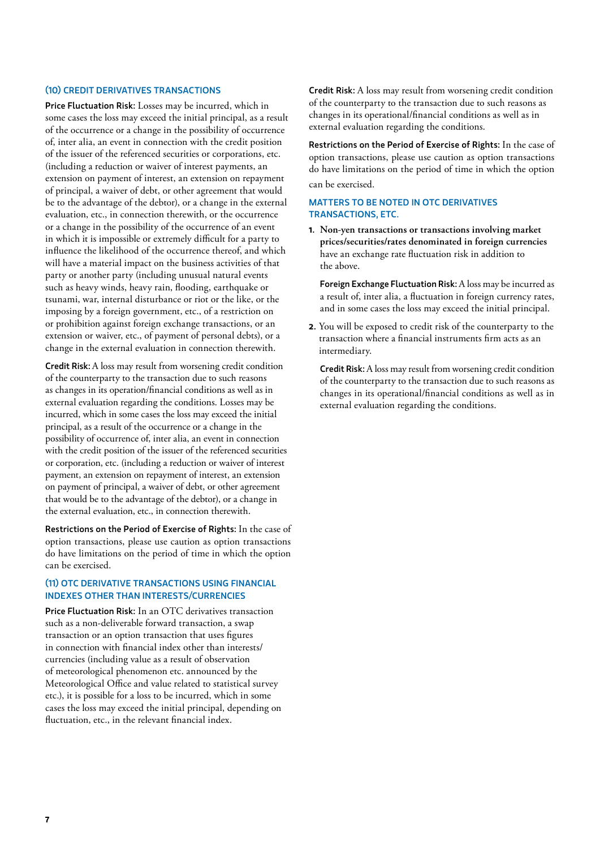#### (10) Credit Derivatives Transactions

Price Fluctuation Risk: Losses may be incurred, which in some cases the loss may exceed the initial principal, as a result of the occurrence or a change in the possibility of occurrence of, inter alia, an event in connection with the credit position of the issuer of the referenced securities or corporations, etc. (including a reduction or waiver of interest payments, an extension on payment of interest, an extension on repayment of principal, a waiver of debt, or other agreement that would be to the advantage of the debtor), or a change in the external evaluation, etc., in connection therewith, or the occurrence or a change in the possibility of the occurrence of an event in which it is impossible or extremely difficult for a party to influence the likelihood of the occurrence thereof, and which will have a material impact on the business activities of that party or another party (including unusual natural events such as heavy winds, heavy rain, flooding, earthquake or tsunami, war, internal disturbance or riot or the like, or the imposing by a foreign government, etc., of a restriction on or prohibition against foreign exchange transactions, or an extension or waiver, etc., of payment of personal debts), or a change in the external evaluation in connection therewith.

Credit Risk: A loss may result from worsening credit condition of the counterparty to the transaction due to such reasons as changes in its operation/financial conditions as well as in external evaluation regarding the conditions. Losses may be incurred, which in some cases the loss may exceed the initial principal, as a result of the occurrence or a change in the possibility of occurrence of, inter alia, an event in connection with the credit position of the issuer of the referenced securities or corporation, etc. (including a reduction or waiver of interest payment, an extension on repayment of interest, an extension on payment of principal, a waiver of debt, or other agreement that would be to the advantage of the debtor), or a change in the external evaluation, etc., in connection therewith.

Restrictions on the Period of Exercise of Rights: In the case of option transactions, please use caution as option transactions do have limitations on the period of time in which the option can be exercised.

#### (11) OTC Derivative Transactions Using Financial Indexes other than Interests/Currencies

Price Fluctuation Risk: In an OTC derivatives transaction such as a non-deliverable forward transaction, a swap transaction or an option transaction that uses figures in connection with financial index other than interests/ currencies (including value as a result of observation of meteorological phenomenon etc. announced by the Meteorological Office and value related to statistical survey etc.), it is possible for a loss to be incurred, which in some cases the loss may exceed the initial principal, depending on fluctuation, etc., in the relevant financial index.

Credit Risk: A loss may result from worsening credit condition of the counterparty to the transaction due to such reasons as changes in its operational/financial conditions as well as in external evaluation regarding the conditions.

Restrictions on the Period of Exercise of Rights: In the case of option transactions, please use caution as option transactions do have limitations on the period of time in which the option can be exercised.

#### Matters to be Noted in OTC Derivatives Transactions, etc.

**1. Non-yen transactions or transactions involving market prices/securities/rates denominated in foreign currencies** have an exchange rate fluctuation risk in addition to the above.

 Foreign Exchange Fluctuation Risk: A loss may be incurred as a result of, inter alia, a fluctuation in foreign currency rates, and in some cases the loss may exceed the initial principal.

**2.** You will be exposed to credit risk of the counterparty to the transaction where a financial instruments firm acts as an intermediary.

 Credit Risk: A loss may result from worsening credit condition of the counterparty to the transaction due to such reasons as changes in its operational/financial conditions as well as in external evaluation regarding the conditions.